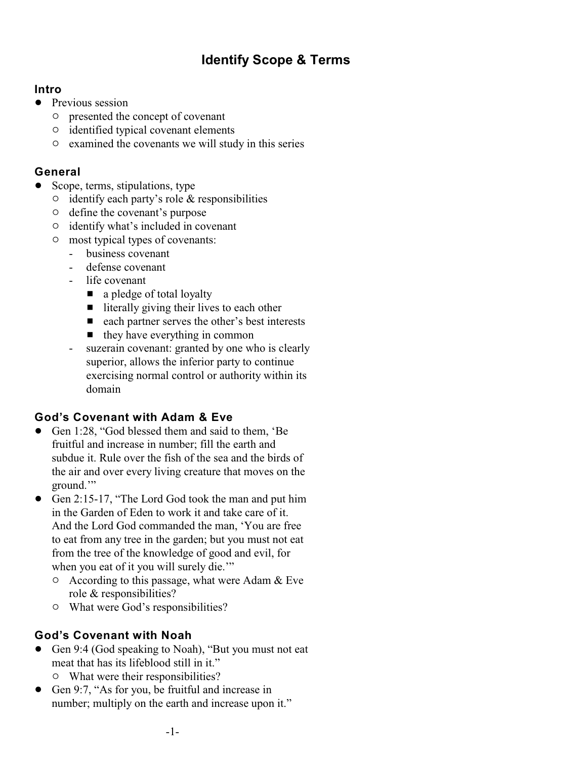# **Identify Scope & Terms**

#### **Intro**

- Previous session
	- $\circ$  presented the concept of covenant
	- $\circ$  identified typical covenant elements
	- $\circ$  examined the covenants we will study in this series

## **General**

- Scope, terms, stipulations, type
	- $\circ$  identify each party's role & responsibilities
	- $\circ$  define the covenant's purpose
	- $\circ$  identify what's included in covenant
	- $\circ$  most typical types of covenants:
		- business covenant
		- defense covenant
		- life covenant
			- $\blacksquare$  a pledge of total loyalty
			- $\blacksquare$  literally giving their lives to each other
			- $\blacksquare$  each partner serves the other's best interests
			- $\blacksquare$  they have everything in common
		- suzerain covenant: granted by one who is clearly superior, allows the inferior party to continue exercising normal control or authority within its domain

# **God's Covenant with Adam & Eve**

- Gen 1:28, "God blessed them and said to them, 'Be fruitful and increase in number; fill the earth and subdue it. Rule over the fish of the sea and the birds of the air and over every living creature that moves on the ground."
- Gen 2:15-17, "The Lord God took the man and put him in the Garden of Eden to work it and take care of it. And the Lord God commanded the man, 'You are free to eat from any tree in the garden; but you must not eat from the tree of the knowledge of good and evil, for when you eat of it you will surely die."
	- $\circ$  According to this passage, what were Adam & Eve role & responsibilities?
	- $\circ$  What were God's responsibilities?

# **God's Covenant with Noah**

- Gen 9:4 (God speaking to Noah), "But you must not eat meat that has its lifeblood still in it."  $\circ$  What were their responsibilities?
- Gen 9:7, "As for you, be fruitful and increase in number; multiply on the earth and increase upon it."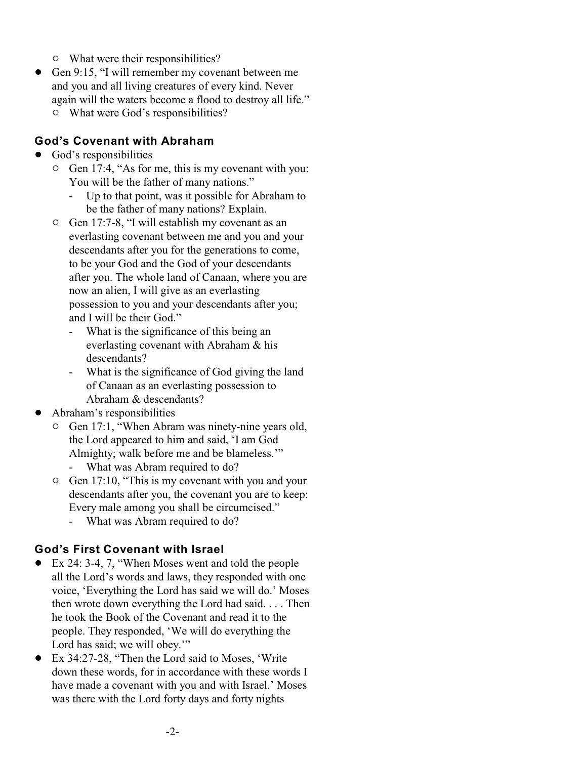- $\circ$  What were their responsibilities?
- Gen 9:15, "I will remember my covenant between me and you and all living creatures of every kind. Never again will the waters become a flood to destroy all life."
	- $\circ$  What were God's responsibilities?

#### **God's Covenant with Abraham**

- God's responsibilities
	- $\circ$  Gen 17:4, "As for me, this is my covenant with you: You will be the father of many nations."
		- Up to that point, was it possible for Abraham to be the father of many nations? Explain.
	- $\circ$  Gen 17:7-8, "I will establish my covenant as an everlasting covenant between me and you and your descendants after you for the generations to come, to be your God and the God of your descendants after you. The whole land of Canaan, where you are now an alien, I will give as an everlasting possession to you and your descendants after you; and I will be their God."
		- What is the significance of this being an everlasting covenant with Abraham & his descendants?
		- What is the significance of God giving the land of Canaan as an everlasting possession to Abraham & descendants?
- ! Abraham's responsibilities
	- $\circ$  Gen 17:1, "When Abram was ninety-nine years old, the Lord appeared to him and said, 'I am God Almighty; walk before me and be blameless.'"
		- What was Abram required to do?
	- $\circ$  Gen 17:10, "This is my covenant with you and your descendants after you, the covenant you are to keep: Every male among you shall be circumcised."
		- What was Abram required to do?

## **God's First Covenant with Israel**

- ! Ex 24: 3-4, 7, "When Moses went and told the people all the Lord's words and laws, they responded with one voice, 'Everything the Lord has said we will do.' Moses then wrote down everything the Lord had said. . . . Then he took the Book of the Covenant and read it to the people. They responded, 'We will do everything the Lord has said; we will obey.""
- ! Ex 34:27-28, "Then the Lord said to Moses, 'Write down these words, for in accordance with these words I have made a covenant with you and with Israel.' Moses was there with the Lord forty days and forty nights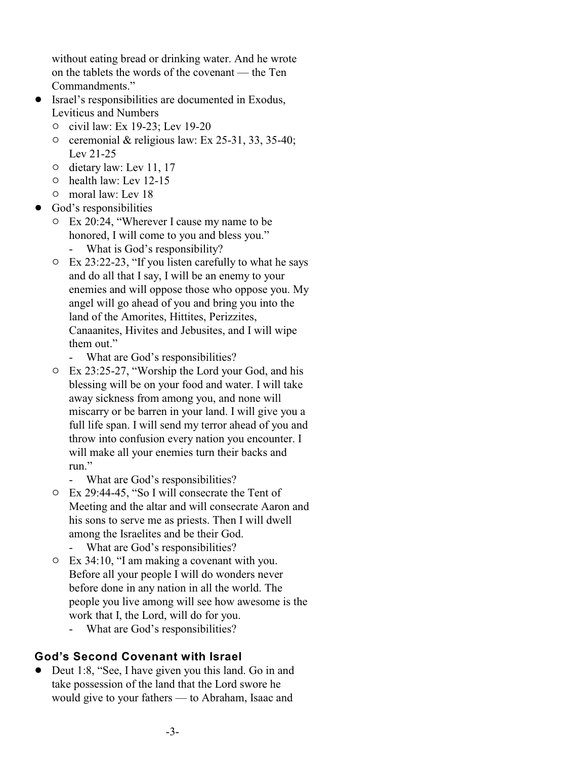without eating bread or drinking water. And he wrote on the tablets the words of the covenant — the Ten Commandments."

- ! Israel's responsibilities are documented in Exodus, Leviticus and Numbers
	- 0 civil law: Ex 19-23; Lev 19-20
	- $\circ$  ceremonial & religious law: Ex 25-31, 33, 35-40; Lev 21-25
	- $\circ$  dietary law: Lev 11, 17
	- $\circ$  health law: Lev 12-15
	- $\circ$  moral law: Lev 18
- God's responsibilities
	- $\circ$  Ex 20:24, "Wherever I cause my name to be honored, I will come to you and bless you."
		- What is God's responsibility?
	- $\circ$  Ex 23:22-23, "If you listen carefully to what he says and do all that I say, I will be an enemy to your enemies and will oppose those who oppose you. My angel will go ahead of you and bring you into the land of the Amorites, Hittites, Perizzites, Canaanites, Hivites and Jebusites, and I will wipe them out."
		- What are God's responsibilities?
	- $\circ$  Ex 23:25-27, "Worship the Lord your God, and his blessing will be on your food and water. I will take away sickness from among you, and none will miscarry or be barren in your land. I will give you a full life span. I will send my terror ahead of you and throw into confusion every nation you encounter. I will make all your enemies turn their backs and run<sup>"</sup>
		- What are God's responsibilities?
	- " Ex 29:44-45, "So I will consecrate the Tent of Meeting and the altar and will consecrate Aaron and his sons to serve me as priests. Then I will dwell among the Israelites and be their God.
		- What are God's responsibilities?
	- $\circ$  Ex 34:10, "I am making a covenant with you. Before all your people I will do wonders never before done in any nation in all the world. The people you live among will see how awesome is the work that I, the Lord, will do for you. - What are God's responsibilities?
- **God's Second Covenant with Israel**
- Deut 1:8, "See, I have given you this land. Go in and take possession of the land that the Lord swore he would give to your fathers — to Abraham, Isaac and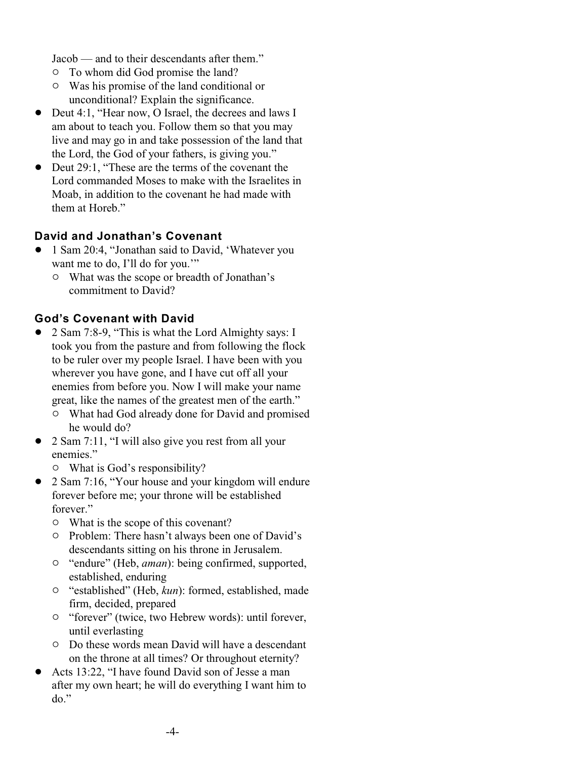Jacob — and to their descendants after them."

- $\circ$  To whom did God promise the land?
- $\circ$  Was his promise of the land conditional or unconditional? Explain the significance.
- Deut 4:1, "Hear now, O Israel, the decrees and laws I am about to teach you. Follow them so that you may live and may go in and take possession of the land that the Lord, the God of your fathers, is giving you."
- Deut 29:1, "These are the terms of the covenant the Lord commanded Moses to make with the Israelites in Moab, in addition to the covenant he had made with them at Horeh"

## **David and Jonathan's Covenant**

- ! 1 Sam 20:4, "Jonathan said to David, 'Whatever you want me to do, I'll do for you."
	- $\circ$  What was the scope or breadth of Jonathan's commitment to David?

#### **God's Covenant with David**

- ! 2 Sam 7:8-9, "This is what the Lord Almighty says: I took you from the pasture and from following the flock to be ruler over my people Israel. I have been with you wherever you have gone, and I have cut off all your enemies from before you. Now I will make your name great, like the names of the greatest men of the earth."
	- $\circ$  What had God already done for David and promised he would do?
- 2 Sam 7:11, "I will also give you rest from all your enemies."
	- $\circ$  What is God's responsibility?
- 2 Sam 7:16, "Your house and your kingdom will endure forever before me; your throne will be established forever."
	- $\circ$  What is the scope of this covenant?
	- $\circ$  Problem: There hasn't always been one of David's descendants sitting on his throne in Jerusalem.
	- <sup>o</sup> "endure" (Heb, *aman*): being confirmed, supported, established, enduring
	- " "established" (Heb, *kun*): formed, established, made firm, decided, prepared
	- $\circ$  "forever" (twice, two Hebrew words): until forever, until everlasting
	- <sup> $\circ$ </sup> Do these words mean David will have a descendant on the throne at all times? Or throughout eternity?
- ! Acts 13:22, "I have found David son of Jesse a man after my own heart; he will do everything I want him to do."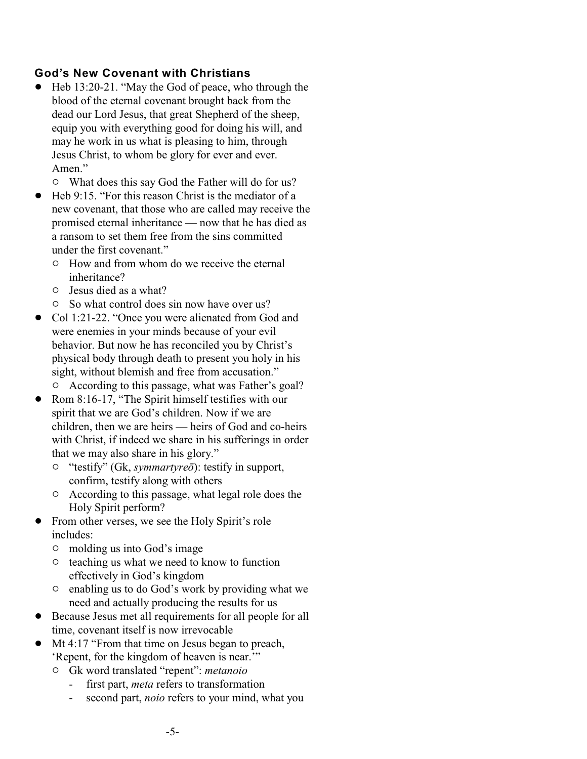## **God's New Covenant with Christians**

- ! Heb 13:20-21. "May the God of peace, who through the blood of the eternal covenant brought back from the dead our Lord Jesus, that great Shepherd of the sheep, equip you with everything good for doing his will, and may he work in us what is pleasing to him, through Jesus Christ, to whom be glory for ever and ever. Amen."
	- $\circ$  What does this say God the Father will do for us?
- ! Heb 9:15. "For this reason Christ is the mediator of a new covenant, that those who are called may receive the promised eternal inheritance — now that he has died as a ransom to set them free from the sins committed under the first covenant."
	- $\circ$  How and from whom do we receive the eternal inheritance?
	- $\circ$  Jesus died as a what?
	- <sup>o</sup> So what control does sin now have over us?
- Col 1:21-22. "Once you were alienated from God and were enemies in your minds because of your evil behavior. But now he has reconciled you by Christ's physical body through death to present you holy in his sight, without blemish and free from accusation."
	- $\circ$  According to this passage, what was Father's goal?
- Rom 8:16-17, "The Spirit himself testifies with our spirit that we are God's children. Now if we are children, then we are heirs — heirs of God and co-heirs with Christ, if indeed we share in his sufferings in order that we may also share in his glory."
	- " "testify" (Gk, *symmartyreô*): testify in support, confirm, testify along with others
	- $\circ$  According to this passage, what legal role does the Holy Spirit perform?
- ! From other verses, we see the Holy Spirit's role includes:
	- $\circ$  molding us into God's image
	- $\circ$  teaching us what we need to know to function effectively in God's kingdom
	- $\circ$  enabling us to do God's work by providing what we need and actually producing the results for us
- ! Because Jesus met all requirements for all people for all time, covenant itself is now irrevocable
- Mt 4:17 "From that time on Jesus began to preach, 'Repent, for the kingdom of heaven is near.'"
	- " Gk word translated "repent": *metanoio*
		- first part, *meta* refers to transformation
		- second part, *noio* refers to your mind, what you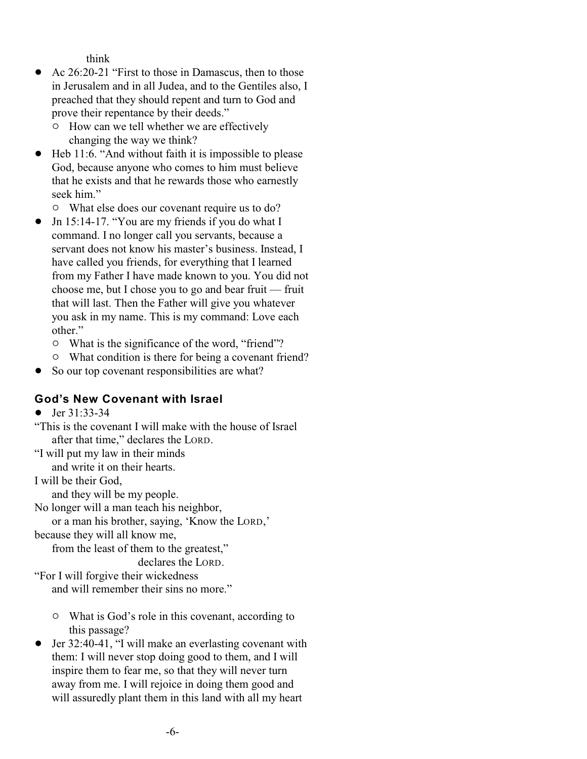think

- Ac 26:20-21 "First to those in Damascus, then to those in Jerusalem and in all Judea, and to the Gentiles also, I preached that they should repent and turn to God and prove their repentance by their deeds."
	- <sup>o</sup> How can we tell whether we are effectively changing the way we think?
- ! Heb 11:6. "And without faith it is impossible to please God, because anyone who comes to him must believe that he exists and that he rewards those who earnestly seek him."
	- $\circ$  What else does our covenant require us to do?
- Jn 15:14-17. "You are my friends if you do what I command. I no longer call you servants, because a servant does not know his master's business. Instead, I have called you friends, for everything that I learned from my Father I have made known to you. You did not choose me, but I chose you to go and bear fruit — fruit that will last. Then the Father will give you whatever you ask in my name. This is my command: Love each other."
	- $\circ$  What is the significance of the word, "friend"?
	- $\circ$  What condition is there for being a covenant friend?
- So our top covenant responsibilities are what?

## **God's New Covenant with Israel**

• Jer  $31:33-34$ 

"This is the covenant I will make with the house of Israel after that time," declares the LORD.

"I will put my law in their minds

and write it on their hearts.

I will be their God,

and they will be my people.

No longer will a man teach his neighbor,

or a man his brother, saying, 'Know the LORD,'

because they will all know me,

from the least of them to the greatest," declares the LORD.

"For I will forgive their wickedness and will remember their sins no more."

- $\circ$  What is God's role in this covenant, according to this passage?
- ! Jer 32:40-41, "I will make an everlasting covenant with them: I will never stop doing good to them, and I will inspire them to fear me, so that they will never turn away from me. I will rejoice in doing them good and will assuredly plant them in this land with all my heart